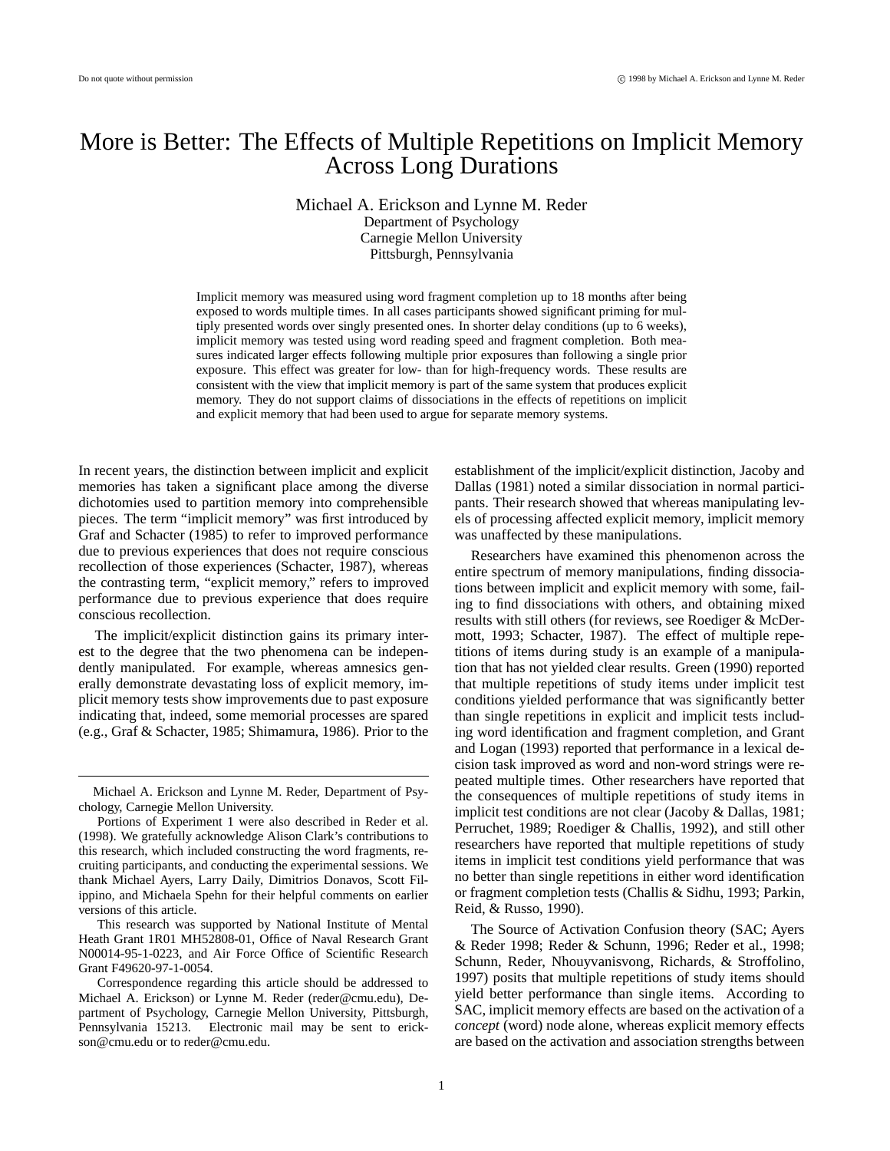# More is Better: The Effects of Multiple Repetitions on Implicit Memory Across Long Durations

Michael A. Erickson and Lynne M. Reder Department of Psychology Carnegie Mellon University Pittsburgh, Pennsylvania

Implicit memory was measured using word fragment completion up to 18 months after being exposed to words multiple times. In all cases participants showed significant priming for multiply presented words over singly presented ones. In shorter delay conditions (up to 6 weeks), implicit memory was tested using word reading speed and fragment completion. Both measures indicated larger effects following multiple prior exposures than following a single prior exposure. This effect was greater for low- than for high-frequency words. These results are consistent with the view that implicit memory is part of the same system that produces explicit memory. They do not support claims of dissociations in the effects of repetitions on implicit and explicit memory that had been used to argue for separate memory systems.

In recent years, the distinction between implicit and explicit memories has taken a significant place among the diverse dichotomies used to partition memory into comprehensible pieces. The term "implicit memory" was first introduced by Graf and Schacter (1985) to refer to improved performance due to previous experiences that does not require conscious recollection of those experiences (Schacter, 1987), whereas the contrasting term, "explicit memory," refers to improved performance due to previous experience that does require conscious recollection.

The implicit/explicit distinction gains its primary interest to the degree that the two phenomena can be independently manipulated. For example, whereas amnesics generally demonstrate devastating loss of explicit memory, implicit memory tests show improvements due to past exposure indicating that, indeed, some memorial processes are spared (e.g., Graf & Schacter, 1985; Shimamura, 1986). Prior to the

This research was supported by National Institute of Mental Heath Grant 1R01 MH52808-01, Office of Naval Research Grant N00014-95-1-0223, and Air Force Office of Scientific Research Grant F49620-97-1-0054.

establishment of the implicit/explicit distinction, Jacoby and Dallas (1981) noted a similar dissociation in normal participants. Their research showed that whereas manipulating levels of processing affected explicit memory, implicit memory was unaffected by these manipulations.

Researchers have examined this phenomenon across the entire spectrum of memory manipulations, finding dissociations between implicit and explicit memory with some, failing to find dissociations with others, and obtaining mixed results with still others (for reviews, see Roediger & McDermott, 1993; Schacter, 1987). The effect of multiple repetitions of items during study is an example of a manipulation that has not yielded clear results. Green (1990) reported that multiple repetitions of study items under implicit test conditions yielded performance that was significantly better than single repetitions in explicit and implicit tests including word identification and fragment completion, and Grant and Logan (1993) reported that performance in a lexical decision task improved as word and non-word strings were repeated multiple times. Other researchers have reported that the consequences of multiple repetitions of study items in implicit test conditions are not clear (Jacoby & Dallas, 1981; Perruchet, 1989; Roediger & Challis, 1992), and still other researchers have reported that multiple repetitions of study items in implicit test conditions yield performance that was no better than single repetitions in either word identification or fragment completion tests (Challis & Sidhu, 1993; Parkin, Reid, & Russo, 1990).

The Source of Activation Confusion theory (SAC; Ayers & Reder 1998; Reder & Schunn, 1996; Reder et al., 1998; Schunn, Reder, Nhouyvanisvong, Richards, & Stroffolino, 1997) posits that multiple repetitions of study items should yield better performance than single items. According to SAC, implicit memory effects are based on the activation of a *concept* (word) node alone, whereas explicit memory effects are based on the activation and association strengths between

Michael A. Erickson and Lynne M. Reder, Department of Psychology, Carnegie Mellon University.

Portions of Experiment 1 were also described in Reder et al. (1998). We gratefully acknowledge Alison Clark's contributions to this research, which included constructing the word fragments, recruiting participants, and conducting the experimental sessions. We thank Michael Ayers, Larry Daily, Dimitrios Donavos, Scott Filippino, and Michaela Spehn for their helpful comments on earlier versions of this article.

Correspondence regarding this article should be addressed to Michael A. Erickson) or Lynne M. Reder (reder@cmu.edu), Department of Psychology, Carnegie Mellon University, Pittsburgh, Pennsylvania 15213. Electronic mail may be sent to erickson@cmu.edu or to reder@cmu.edu.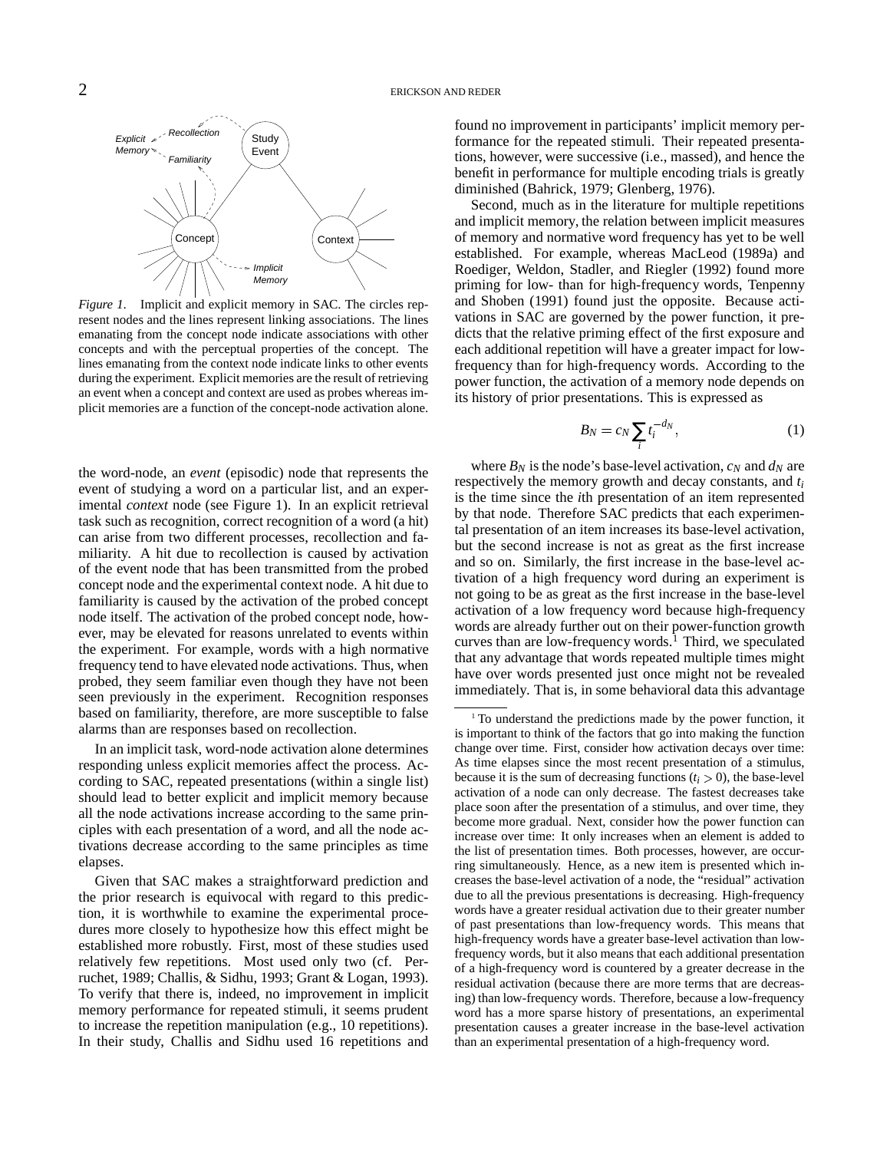

*Figure 1*. Implicit and explicit memory in SAC. The circles represent nodes and the lines represent linking associations. The lines emanating from the concept node indicate associations with other concepts and with the perceptual properties of the concept. The lines emanating from the context node indicate links to other events during the experiment. Explicit memories are the result of retrieving an event when a concept and context are used as probes whereas implicit memories are a function of the concept-node activation alone.

the word-node, an *event* (episodic) node that represents the event of studying a word on a particular list, and an experimental *context* node (see Figure 1). In an explicit retrieval task such as recognition, correct recognition of a word (a hit) can arise from two different processes, recollection and familiarity. A hit due to recollection is caused by activation of the event node that has been transmitted from the probed concept node and the experimental context node. A hit due to familiarity is caused by the activation of the probed concept node itself. The activation of the probed concept node, however, may be elevated for reasons unrelated to events within the experiment. For example, words with a high normative frequency tend to have elevated node activations. Thus, when probed, they seem familiar even though they have not been seen previously in the experiment. Recognition responses based on familiarity, therefore, are more susceptible to false alarms than are responses based on recollection.

In an implicit task, word-node activation alone determines responding unless explicit memories affect the process. According to SAC, repeated presentations (within a single list) should lead to better explicit and implicit memory because all the node activations increase according to the same principles with each presentation of a word, and all the node activations decrease according to the same principles as time elapses.

Given that SAC makes a straightforward prediction and the prior research is equivocal with regard to this prediction, it is worthwhile to examine the experimental procedures more closely to hypothesize how this effect might be established more robustly. First, most of these studies used relatively few repetitions. Most used only two (cf. Perruchet, 1989; Challis, & Sidhu, 1993; Grant & Logan, 1993). To verify that there is, indeed, no improvement in implicit memory performance for repeated stimuli, it seems prudent to increase the repetition manipulation (e.g., 10 repetitions). In their study, Challis and Sidhu used 16 repetitions and found no improvement in participants' implicit memory performance for the repeated stimuli. Their repeated presentations, however, were successive (i.e., massed), and hence the benefit in performance for multiple encoding trials is greatly diminished (Bahrick, 1979; Glenberg, 1976).

Second, much as in the literature for multiple repetitions and implicit memory, the relation between implicit measures of memory and normative word frequency has yet to be well established. For example, whereas MacLeod (1989a) and Roediger, Weldon, Stadler, and Riegler (1992) found more priming for low- than for high-frequency words, Tenpenny and Shoben (1991) found just the opposite. Because activations in SAC are governed by the power function, it predicts that the relative priming effect of the first exposure and each additional repetition will have a greater impact for lowfrequency than for high-frequency words. According to the power function, the activation of a memory node depends on its history of prior presentations. This is expressed as

$$
B_N = c_N \sum_i t_i^{-d_N},\tag{1}
$$

where  $B_N$  is the node's base-level activation,  $c_N$  and  $d_N$  are respectively the memory growth and decay constants, and *t<sup>i</sup>* is the time since the *i*th presentation of an item represented by that node. Therefore SAC predicts that each experimental presentation of an item increases its base-level activation, but the second increase is not as great as the first increase and so on. Similarly, the first increase in the base-level activation of a high frequency word during an experiment is not going to be as great as the first increase in the base-level activation of a low frequency word because high-frequency words are already further out on their power-function growth curves than are low-frequency words.<sup>1</sup> Third, we speculated that any advantage that words repeated multiple times might have over words presented just once might not be revealed immediately. That is, in some behavioral data this advantage

<sup>&</sup>lt;sup>1</sup> To understand the predictions made by the power function, it is important to think of the factors that go into making the function change over time. First, consider how activation decays over time: As time elapses since the most recent presentation of a stimulus, because it is the sum of decreasing functions  $(t_i > 0)$ , the base-level activation of a node can only decrease. The fastest decreases take place soon after the presentation of a stimulus, and over time, they become more gradual. Next, consider how the power function can increase over time: It only increases when an element is added to the list of presentation times. Both processes, however, are occurring simultaneously. Hence, as a new item is presented which increases the base-level activation of a node, the "residual" activation due to all the previous presentations is decreasing. High-frequency words have a greater residual activation due to their greater number of past presentations than low-frequency words. This means that high-frequency words have a greater base-level activation than lowfrequency words, but it also means that each additional presentation of a high-frequency word is countered by a greater decrease in the residual activation (because there are more terms that are decreasing) than low-frequency words. Therefore, because a low-frequency word has a more sparse history of presentations, an experimental presentation causes a greater increase in the base-level activation than an experimental presentation of a high-frequency word.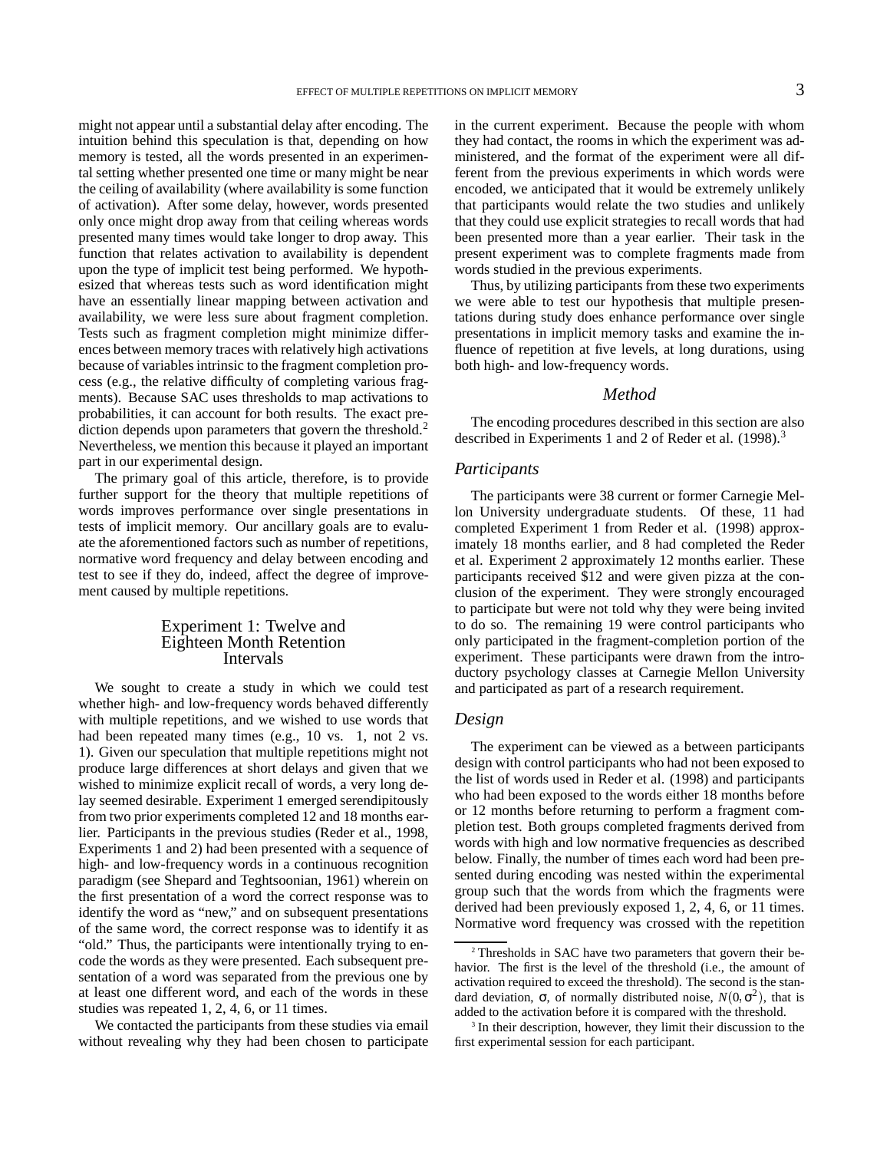might not appear until a substantial delay after encoding. The intuition behind this speculation is that, depending on how memory is tested, all the words presented in an experimental setting whether presented one time or many might be near the ceiling of availability (where availability is some function of activation). After some delay, however, words presented only once might drop away from that ceiling whereas words presented many times would take longer to drop away. This function that relates activation to availability is dependent upon the type of implicit test being performed. We hypothesized that whereas tests such as word identification might have an essentially linear mapping between activation and availability, we were less sure about fragment completion. Tests such as fragment completion might minimize differences between memory traces with relatively high activations because of variables intrinsic to the fragment completion process (e.g., the relative difficulty of completing various fragments). Because SAC uses thresholds to map activations to probabilities, it can account for both results. The exact prediction depends upon parameters that govern the threshold.<sup>2</sup> Nevertheless, we mention this because it played an important part in our experimental design.

The primary goal of this article, therefore, is to provide further support for the theory that multiple repetitions of words improves performance over single presentations in tests of implicit memory. Our ancillary goals are to evaluate the aforementioned factors such as number of repetitions, normative word frequency and delay between encoding and test to see if they do, indeed, affect the degree of improvement caused by multiple repetitions.

## Experiment 1: Twelve and Eighteen Month Retention Intervals

We sought to create a study in which we could test whether high- and low-frequency words behaved differently with multiple repetitions, and we wished to use words that had been repeated many times (e.g., 10 vs. 1, not 2 vs. 1). Given our speculation that multiple repetitions might not produce large differences at short delays and given that we wished to minimize explicit recall of words, a very long delay seemed desirable. Experiment 1 emerged serendipitously from two prior experiments completed 12 and 18 months earlier. Participants in the previous studies (Reder et al., 1998, Experiments 1 and 2) had been presented with a sequence of high- and low-frequency words in a continuous recognition paradigm (see Shepard and Teghtsoonian, 1961) wherein on the first presentation of a word the correct response was to identify the word as "new," and on subsequent presentations of the same word, the correct response was to identify it as "old." Thus, the participants were intentionally trying to encode the words as they were presented. Each subsequent presentation of a word was separated from the previous one by at least one different word, and each of the words in these studies was repeated 1, 2, 4, 6, or 11 times.

We contacted the participants from these studies via email without revealing why they had been chosen to participate in the current experiment. Because the people with whom they had contact, the rooms in which the experiment was administered, and the format of the experiment were all different from the previous experiments in which words were encoded, we anticipated that it would be extremely unlikely that participants would relate the two studies and unlikely that they could use explicit strategies to recall words that had been presented more than a year earlier. Their task in the present experiment was to complete fragments made from words studied in the previous experiments.

Thus, by utilizing participants from these two experiments we were able to test our hypothesis that multiple presentations during study does enhance performance over single presentations in implicit memory tasks and examine the influence of repetition at five levels, at long durations, using both high- and low-frequency words.

#### *Method*

The encoding procedures described in this section are also described in Experiments 1 and 2 of Reder et al. (1998).<sup>3</sup>

#### *Participants*

The participants were 38 current or former Carnegie Mellon University undergraduate students. Of these, 11 had completed Experiment 1 from Reder et al. (1998) approximately 18 months earlier, and 8 had completed the Reder et al. Experiment 2 approximately 12 months earlier. These participants received \$12 and were given pizza at the conclusion of the experiment. They were strongly encouraged to participate but were not told why they were being invited to do so. The remaining 19 were control participants who only participated in the fragment-completion portion of the experiment. These participants were drawn from the introductory psychology classes at Carnegie Mellon University and participated as part of a research requirement.

## *Design*

The experiment can be viewed as a between participants design with control participants who had not been exposed to the list of words used in Reder et al. (1998) and participants who had been exposed to the words either 18 months before or 12 months before returning to perform a fragment completion test. Both groups completed fragments derived from words with high and low normative frequencies as described below. Finally, the number of times each word had been presented during encoding was nested within the experimental group such that the words from which the fragments were derived had been previously exposed 1, 2, 4, 6, or 11 times. Normative word frequency was crossed with the repetition

<sup>2</sup> Thresholds in SAC have two parameters that govern their behavior. The first is the level of the threshold (i.e., the amount of activation required to exceed the threshold). The second is the standard deviation,  $\sigma$ , of normally distributed noise,  $N(0, \sigma^2)$ , that is added to the activation before it is compared with the threshold.

<sup>&</sup>lt;sup>3</sup> In their description, however, they limit their discussion to the first experimental session for each participant.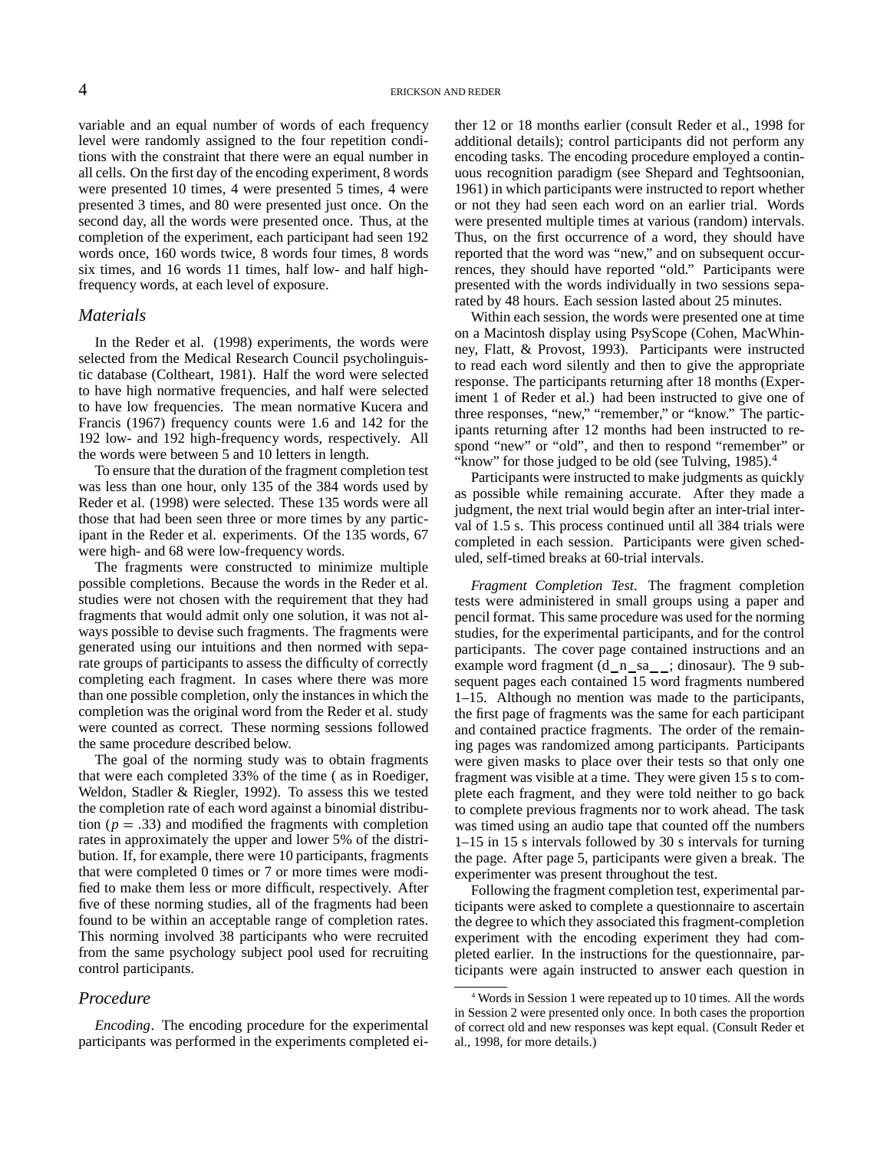variable and an equal number of words of each frequency level were randomly assigned to the four repetition conditions with the constraint that there were an equal number in all cells. On the first day of the encoding experiment, 8 words were presented 10 times, 4 were presented 5 times, 4 were presented 3 times, and 80 were presented just once. On the second day, all the words were presented once. Thus, at the completion of the experiment, each participant had seen 192 words once, 160 words twice, 8 words four times, 8 words six times, and 16 words 11 times, half low- and half highfrequency words, at each level of exposure.

## *Materials*

In the Reder et al. (1998) experiments, the words were selected from the Medical Research Council psycholinguistic database (Coltheart, 1981). Half the word were selected to have high normative frequencies, and half were selected to have low frequencies. The mean normative Kucera and Francis (1967) frequency counts were 1.6 and 142 for the 192 low- and 192 high-frequency words, respectively. All the words were between 5 and 10 letters in length.

To ensure that the duration of the fragment completion test was less than one hour, only 135 of the 384 words used by Reder et al. (1998) were selected. These 135 words were all those that had been seen three or more times by any participant in the Reder et al. experiments. Of the 135 words, 67 were high- and 68 were low-frequency words.

The fragments were constructed to minimize multiple possible completions. Because the words in the Reder et al. studies were not chosen with the requirement that they had fragments that would admit only one solution, it was not always possible to devise such fragments. The fragments were generated using our intuitions and then normed with separate groups of participants to assess the difficulty of correctly completing each fragment. In cases where there was more than one possible completion, only the instances in which the completion was the original word from the Reder et al. study were counted as correct. These norming sessions followed the same procedure described below.

The goal of the norming study was to obtain fragments that were each completed 33% of the time ( as in Roediger, Weldon, Stadler & Riegler, 1992). To assess this we tested the completion rate of each word against a binomial distribution ( $p = .33$ ) and modified the fragments with completion rates in approximately the upper and lower 5% of the distribution. If, for example, there were 10 participants, fragments that were completed 0 times or 7 or more times were modified to make them less or more difficult, respectively. After five of these norming studies, all of the fragments had been found to be within an acceptable range of completion rates. This norming involved 38 participants who were recruited from the same psychology subject pool used for recruiting control participants.

## *Procedure*

*Encoding*. The encoding procedure for the experimental participants was performed in the experiments completed either 12 or 18 months earlier (consult Reder et al., 1998 for additional details); control participants did not perform any encoding tasks. The encoding procedure employed a continuous recognition paradigm (see Shepard and Teghtsoonian, 1961) in which participants were instructed to report whether or not they had seen each word on an earlier trial. Words were presented multiple times at various (random) intervals. Thus, on the first occurrence of a word, they should have reported that the word was "new," and on subsequent occurrences, they should have reported "old." Participants were presented with the words individually in two sessions separated by 48 hours. Each session lasted about 25 minutes.

Within each session, the words were presented one at time on a Macintosh display using PsyScope (Cohen, MacWhinney, Flatt, & Provost, 1993). Participants were instructed to read each word silently and then to give the appropriate response. The participants returning after 18 months (Experiment 1 of Reder et al.) had been instructed to give one of three responses, "new," "remember," or "know." The participants returning after 12 months had been instructed to respond "new" or "old", and then to respond "remember" or "know" for those judged to be old (see Tulving,  $1985$ ).<sup>4</sup>

Participants were instructed to make judgments as quickly as possible while remaining accurate. After they made a judgment, the next trial would begin after an inter-trial interval of 1.5 s. This process continued until all 384 trials were completed in each session. Participants were given scheduled, self-timed breaks at 60-trial intervals.

*Fragment Completion Test*. The fragment completion tests were administered in small groups using a paper and pencil format. This same procedure was used for the norming studies, for the experimental participants, and for the control participants. The cover page contained instructions and an example word fragment  $(d_n_s_a, \ldots, d_n)$ . The 9 subsequent pages each contained 15 word fragments numbered 1–15. Although no mention was made to the participants, the first page of fragments was the same for each participant and contained practice fragments. The order of the remaining pages was randomized among participants. Participants were given masks to place over their tests so that only one fragment was visible at a time. They were given 15 s to complete each fragment, and they were told neither to go back to complete previous fragments nor to work ahead. The task was timed using an audio tape that counted off the numbers 1–15 in 15 s intervals followed by 30 s intervals for turning the page. After page 5, participants were given a break. The experimenter was present throughout the test.

Following the fragment completion test, experimental participants were asked to complete a questionnaire to ascertain the degree to which they associated this fragment-completion experiment with the encoding experiment they had completed earlier. In the instructions for the questionnaire, participants were again instructed to answer each question in

<sup>4</sup> Words in Session 1 were repeated up to 10 times. All the words in Session 2 were presented only once. In both cases the proportion of correct old and new responses was kept equal. (Consult Reder et al., 1998, for more details.)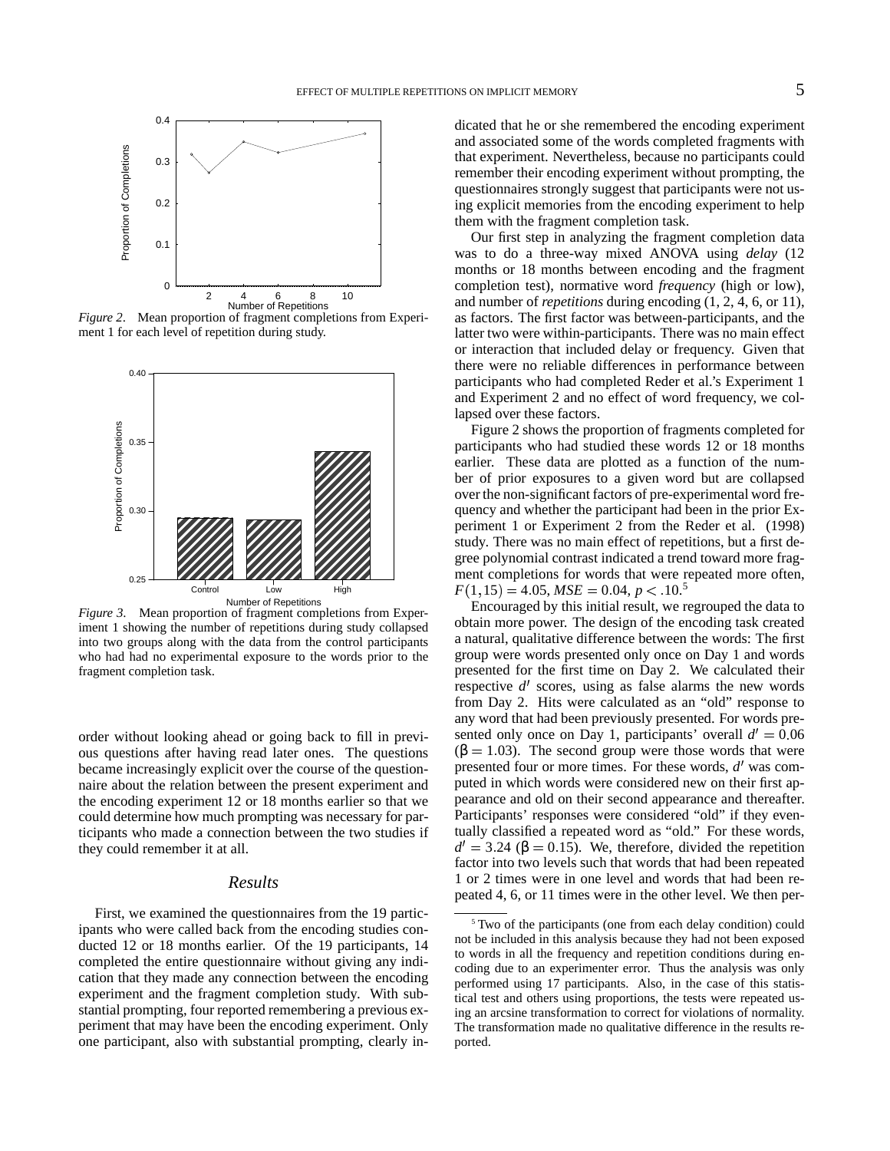

*Figure 2*. Mean proportion of fragment completions from Experiment 1 for each level of repetition during study.



*Figure 3*. Mean proportion of fragment completions from Experiment 1 showing the number of repetitions during study collapsed into two groups along with the data from the control participants who had had no experimental exposure to the words prior to the fragment completion task.

order without looking ahead or going back to fill in previous questions after having read later ones. The questions became increasingly explicit over the course of the questionnaire about the relation between the present experiment and the encoding experiment 12 or 18 months earlier so that we could determine how much prompting was necessary for participants who made a connection between the two studies if they could remember it at all.

#### *Results*

First, we examined the questionnaires from the 19 participants who were called back from the encoding studies conducted 12 or 18 months earlier. Of the 19 participants, 14 completed the entire questionnaire without giving any indication that they made any connection between the encoding experiment and the fragment completion study. With substantial prompting, four reported remembering a previous experiment that may have been the encoding experiment. Only one participant, also with substantial prompting, clearly indicated that he or she remembered the encoding experiment and associated some of the words completed fragments with that experiment. Nevertheless, because no participants could remember their encoding experiment without prompting, the questionnaires strongly suggest that participants were not using explicit memories from the encoding experiment to help them with the fragment completion task.

Our first step in analyzing the fragment completion data was to do a three-way mixed ANOVA using *delay* (12 months or 18 months between encoding and the fragment completion test), normative word *frequency* (high or low), and number of *repetitions* during encoding (1, 2, 4, 6, or 11), as factors. The first factor was between-participants, and the latter two were within-participants. There was no main effect or interaction that included delay or frequency. Given that there were no reliable differences in performance between participants who had completed Reder et al.'s Experiment 1 and Experiment 2 and no effect of word frequency, we collapsed over these factors.

Figure 2 shows the proportion of fragments completed for participants who had studied these words 12 or 18 months earlier. These data are plotted as a function of the number of prior exposures to a given word but are collapsed over the non-significant factors of pre-experimental word frequency and whether the participant had been in the prior Experiment 1 or Experiment 2 from the Reder et al. (1998) study. There was no main effect of repetitions, but a first degree polynomial contrast indicated a trend toward more fragment completions for words that were repeated more often,  $F(1, 15) = 4.05, MSE = 0.04, p < .10<sup>5</sup>$ 

 Encouraged by this initial result, we regrouped the data to obtain more power. The design of the encoding task created a natural, qualitative difference between the words: The first group were words presented only once on Day 1 and words presented for the first time on Day 2. We calculated their respective  $d'$  scores, using as false alarms the new words from Day 2. Hits were calculated as an "old" response to any word that had been previously presented. For words presented only once on Day 1, participants' overall  $d' = 0.06$  $(β = 1.03)$ . The second group were those words that were presented four or more times. For these words, *d'* was computed in which words were considered new on their first appearance and old on their second appearance and thereafter. Participants' responses were considered "old" if they eventually classified a repeated word as "old." For these words,  $d' = 3.24$  ( $\beta = 0.15$ ). We, therefore, divided the repetition factor into two levels such that words that had been repeated 1 or 2 times were in one level and words that had been repeated 4, 6, or 11 times were in the other level. We then per-

<sup>&</sup>lt;sup>5</sup> Two of the participants (one from each delay condition) could not be included in this analysis because they had not been exposed to words in all the frequency and repetition conditions during encoding due to an experimenter error. Thus the analysis was only performed using 17 participants. Also, in the case of this statistical test and others using proportions, the tests were repeated using an arcsine transformation to correct for violations of normality. The transformation made no qualitative difference in the results reported.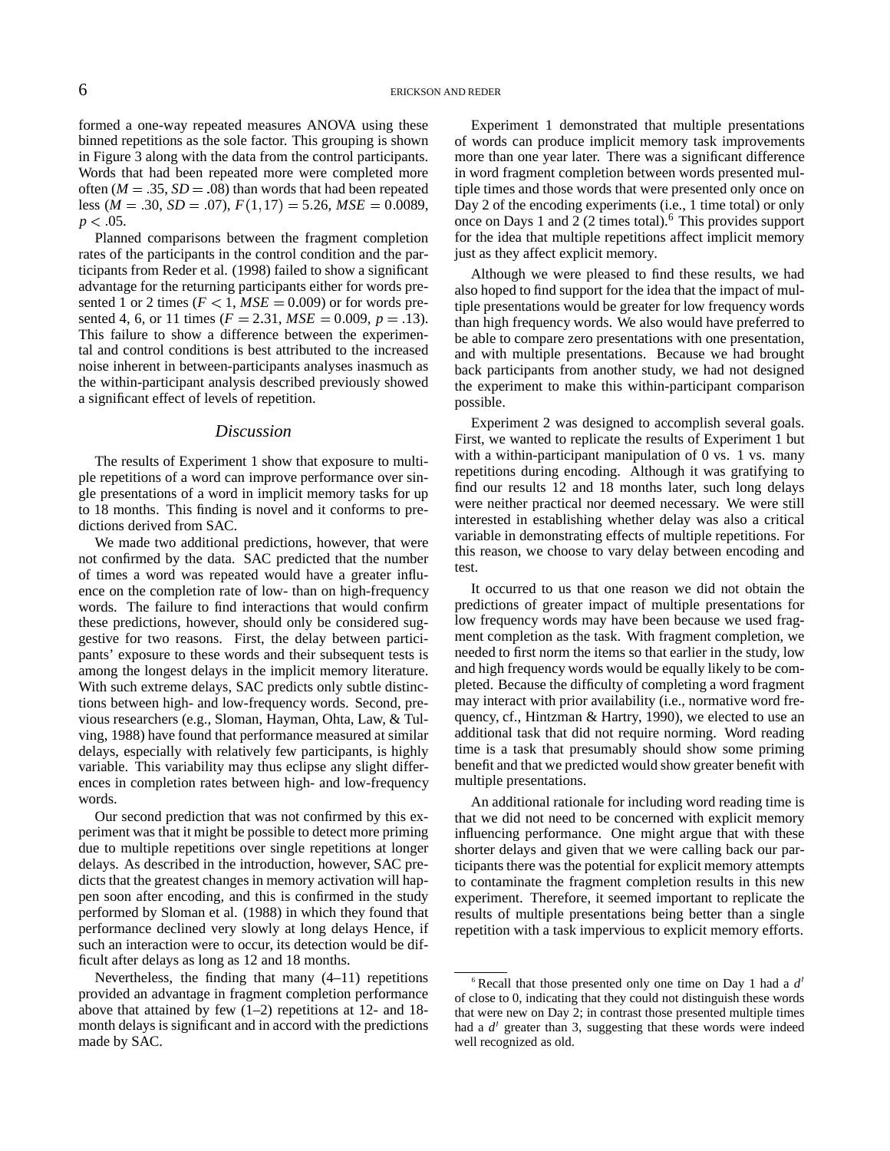formed a one-way repeated measures ANOVA using these binned repetitions as the sole factor. This grouping is shown in Figure 3 along with the data from the control participants. Words that had been repeated more were completed more often  $(M = .35, SD = .08)$  than words that had been repeated less ( $M = .30$ ,  $SD = .07$ ),  $F(1, 17) = 5.26$ ,  $MSE = 0.0089$ , D.  $p < 05$ .

Planned comparisons between the fragment completion rates of the participants in the control condition and the participants from Reder et al. (1998) failed to show a significant advantage for the returning participants either for words presented 1 or 2 times  $(F < 1, MSE = 0.009)$  or for words presented 4, 6, or 11 times  $(F = 2.31, MSE = 0.009, p = .13)$ . This failure to show a difference between the experimental and control conditions is best attributed to the increased noise inherent in between-participants analyses inasmuch as the within-participant analysis described previously showed a significant effect of levels of repetition.

#### *Discussion*

The results of Experiment 1 show that exposure to multiple repetitions of a word can improve performance over single presentations of a word in implicit memory tasks for up to 18 months. This finding is novel and it conforms to predictions derived from SAC.

We made two additional predictions, however, that were not confirmed by the data. SAC predicted that the number of times a word was repeated would have a greater influence on the completion rate of low- than on high-frequency words. The failure to find interactions that would confirm these predictions, however, should only be considered suggestive for two reasons. First, the delay between participants' exposure to these words and their subsequent tests is among the longest delays in the implicit memory literature. With such extreme delays, SAC predicts only subtle distinctions between high- and low-frequency words. Second, previous researchers (e.g., Sloman, Hayman, Ohta, Law, & Tulving, 1988) have found that performance measured at similar delays, especially with relatively few participants, is highly variable. This variability may thus eclipse any slight differences in completion rates between high- and low-frequency words.

Our second prediction that was not confirmed by this experiment was that it might be possible to detect more priming due to multiple repetitions over single repetitions at longer delays. As described in the introduction, however, SAC predicts that the greatest changes in memory activation will happen soon after encoding, and this is confirmed in the study performed by Sloman et al. (1988) in which they found that performance declined very slowly at long delays Hence, if such an interaction were to occur, its detection would be difficult after delays as long as 12 and 18 months.

Nevertheless, the finding that many (4–11) repetitions provided an advantage in fragment completion performance above that attained by few (1–2) repetitions at 12- and 18 month delays is significant and in accord with the predictions made by SAC.

Experiment 1 demonstrated that multiple presentations of words can produce implicit memory task improvements more than one year later. There was a significant difference in word fragment completion between words presented multiple times and those words that were presented only once on Day 2 of the encoding experiments (i.e., 1 time total) or only once on Days 1 and 2 (2 times total).<sup>6</sup> This provides support for the idea that multiple repetitions affect implicit memory just as they affect explicit memory.

Although we were pleased to find these results, we had also hoped to find support for the idea that the impact of multiple presentations would be greater for low frequency words than high frequency words. We also would have preferred to be able to compare zero presentations with one presentation, and with multiple presentations. Because we had brought back participants from another study, we had not designed the experiment to make this within-participant comparison possible.

Experiment 2 was designed to accomplish several goals. First, we wanted to replicate the results of Experiment 1 but with a within-participant manipulation of 0 vs. 1 vs. many repetitions during encoding. Although it was gratifying to find our results 12 and 18 months later, such long delays were neither practical nor deemed necessary. We were still interested in establishing whether delay was also a critical variable in demonstrating effects of multiple repetitions. For this reason, we choose to vary delay between encoding and test.

It occurred to us that one reason we did not obtain the predictions of greater impact of multiple presentations for low frequency words may have been because we used fragment completion as the task. With fragment completion, we needed to first norm the items so that earlier in the study, low and high frequency words would be equally likely to be completed. Because the difficulty of completing a word fragment may interact with prior availability (i.e., normative word frequency, cf., Hintzman & Hartry, 1990), we elected to use an additional task that did not require norming. Word reading time is a task that presumably should show some priming benefit and that we predicted would show greater benefit with multiple presentations.

An additional rationale for including word reading time is that we did not need to be concerned with explicit memory influencing performance. One might argue that with these shorter delays and given that we were calling back our participants there was the potential for explicit memory attempts to contaminate the fragment completion results in this new experiment. Therefore, it seemed important to replicate the results of multiple presentations being better than a single repetition with a task impervious to explicit memory efforts.

<sup>6</sup> Recall that those presented only one time on Day 1 had a *d* of close to 0, indicating that they could not distinguish these words that were new on Day 2; in contrast those presented multiple times had a *d'* greater than 3, suggesting that these words were indeed well recognized as old.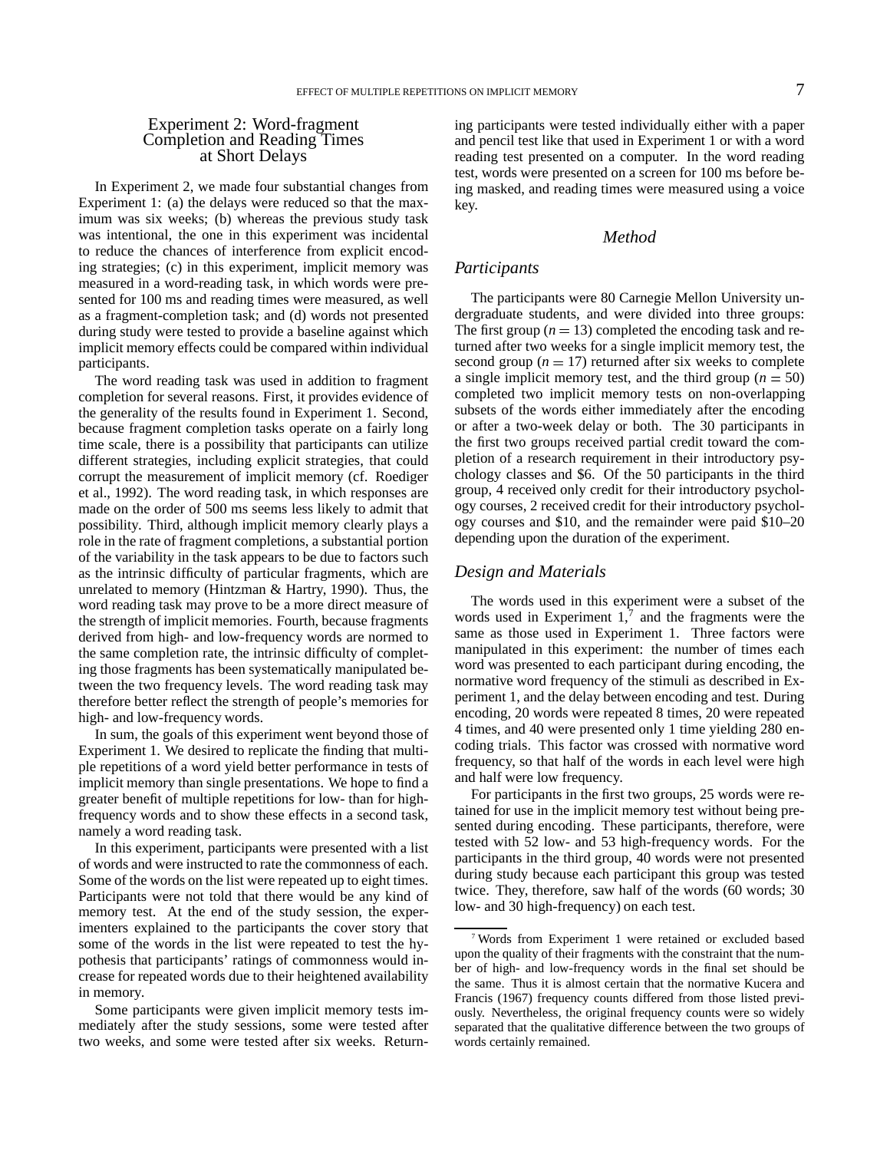## Experiment 2: Word-fragment Completion and Reading Times at Short Delays

In Experiment 2, we made four substantial changes from Experiment 1: (a) the delays were reduced so that the maximum was six weeks; (b) whereas the previous study task was intentional, the one in this experiment was incidental to reduce the chances of interference from explicit encoding strategies; (c) in this experiment, implicit memory was measured in a word-reading task, in which words were presented for 100 ms and reading times were measured, as well as a fragment-completion task; and (d) words not presented during study were tested to provide a baseline against which implicit memory effects could be compared within individual participants.

The word reading task was used in addition to fragment completion for several reasons. First, it provides evidence of the generality of the results found in Experiment 1. Second, because fragment completion tasks operate on a fairly long time scale, there is a possibility that participants can utilize different strategies, including explicit strategies, that could corrupt the measurement of implicit memory (cf. Roediger et al., 1992). The word reading task, in which responses are made on the order of 500 ms seems less likely to admit that possibility. Third, although implicit memory clearly plays a role in the rate of fragment completions, a substantial portion of the variability in the task appears to be due to factors such as the intrinsic difficulty of particular fragments, which are unrelated to memory (Hintzman & Hartry, 1990). Thus, the word reading task may prove to be a more direct measure of the strength of implicit memories. Fourth, because fragments derived from high- and low-frequency words are normed to the same completion rate, the intrinsic difficulty of completing those fragments has been systematically manipulated between the two frequency levels. The word reading task may therefore better reflect the strength of people's memories for high- and low-frequency words.

In sum, the goals of this experiment went beyond those of Experiment 1. We desired to replicate the finding that multiple repetitions of a word yield better performance in tests of implicit memory than single presentations. We hope to find a greater benefit of multiple repetitions for low- than for highfrequency words and to show these effects in a second task, namely a word reading task.

In this experiment, participants were presented with a list of words and were instructed to rate the commonness of each. Some of the words on the list were repeated up to eight times. Participants were not told that there would be any kind of memory test. At the end of the study session, the experimenters explained to the participants the cover story that some of the words in the list were repeated to test the hypothesis that participants' ratings of commonness would increase for repeated words due to their heightened availability in memory.

Some participants were given implicit memory tests immediately after the study sessions, some were tested after two weeks, and some were tested after six weeks. Returning participants were tested individually either with a paper and pencil test like that used in Experiment 1 or with a word reading test presented on a computer. In the word reading test, words were presented on a screen for 100 ms before being masked, and reading times were measured using a voice key.

## *Method*

#### *Participants*

The participants were 80 Carnegie Mellon University undergraduate students, and were divided into three groups: The first group  $(n = 13)$  completed the encoding task and returned after two weeks for a single implicit memory test, the second group ( $n = 17$ ) returned after six weeks to complete a single implicit memory test, and the third group  $(n = 50)$ completed two implicit memory tests on non-overlapping subsets of the words either immediately after the encoding or after a two-week delay or both. The 30 participants in the first two groups received partial credit toward the completion of a research requirement in their introductory psychology classes and \$6. Of the 50 participants in the third group, 4 received only credit for their introductory psychology courses, 2 received credit for their introductory psychology courses and \$10, and the remainder were paid \$10–20 depending upon the duration of the experiment.

#### *Design and Materials*

The words used in this experiment were a subset of the words used in Experiment  $1$ ,  $\frac{7}{7}$  and the fragments were the same as those used in Experiment 1. Three factors were manipulated in this experiment: the number of times each word was presented to each participant during encoding, the normative word frequency of the stimuli as described in Experiment 1, and the delay between encoding and test. During encoding, 20 words were repeated 8 times, 20 were repeated 4 times, and 40 were presented only 1 time yielding 280 encoding trials. This factor was crossed with normative word frequency, so that half of the words in each level were high and half were low frequency.

For participants in the first two groups, 25 words were retained for use in the implicit memory test without being presented during encoding. These participants, therefore, were tested with 52 low- and 53 high-frequency words. For the participants in the third group, 40 words were not presented during study because each participant this group was tested twice. They, therefore, saw half of the words (60 words; 30 low- and 30 high-frequency) on each test.

<sup>7</sup> Words from Experiment 1 were retained or excluded based upon the quality of their fragments with the constraint that the number of high- and low-frequency words in the final set should be the same. Thus it is almost certain that the normative Kucera and Francis (1967) frequency counts differed from those listed previously. Nevertheless, the original frequency counts were so widely separated that the qualitative difference between the two groups of words certainly remained.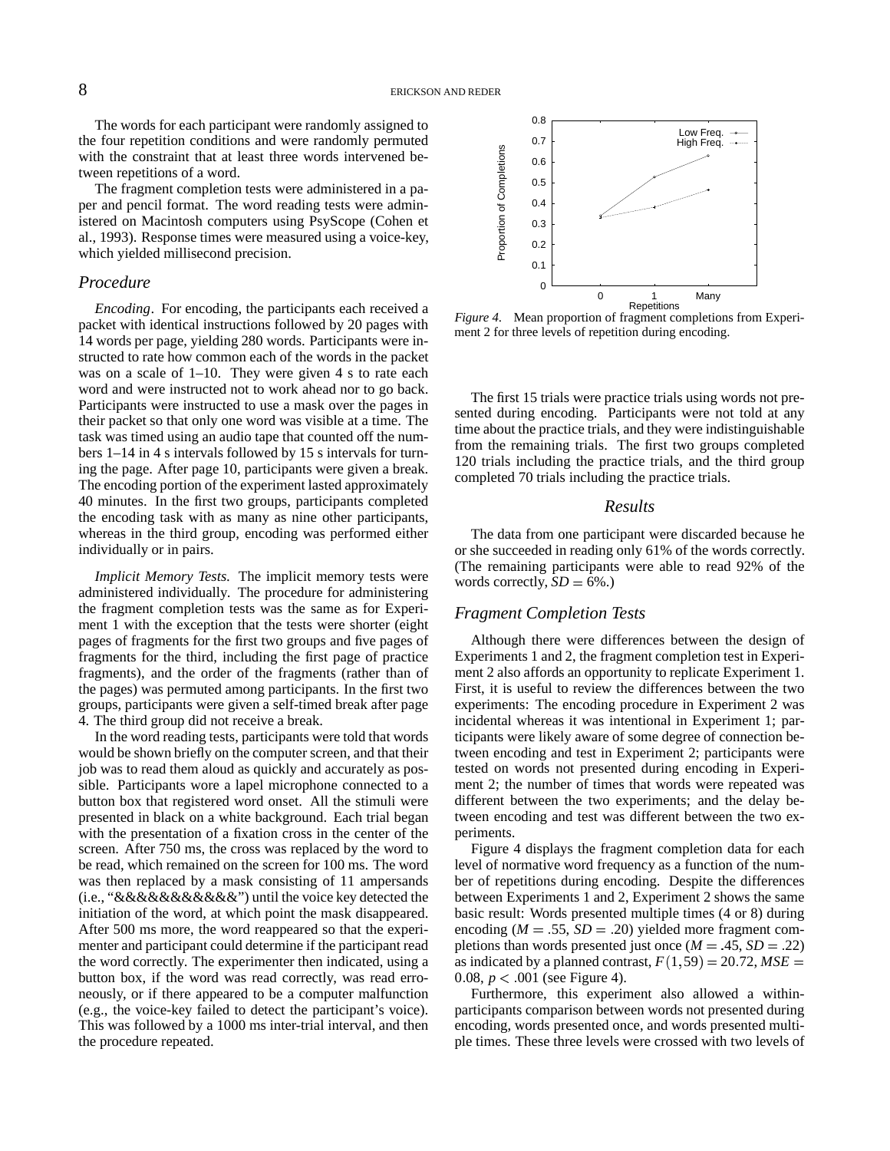The words for each participant were randomly assigned to the four repetition conditions and were randomly permuted with the constraint that at least three words intervened between repetitions of a word.

The fragment completion tests were administered in a paper and pencil format. The word reading tests were administered on Macintosh computers using PsyScope (Cohen et al., 1993). Response times were measured using a voice-key, which yielded millisecond precision.

#### *Procedure*

*Encoding*. For encoding, the participants each received a packet with identical instructions followed by 20 pages with 14 words per page, yielding 280 words. Participants were instructed to rate how common each of the words in the packet was on a scale of 1–10. They were given 4 s to rate each word and were instructed not to work ahead nor to go back. Participants were instructed to use a mask over the pages in their packet so that only one word was visible at a time. The task was timed using an audio tape that counted off the numbers 1–14 in 4 s intervals followed by 15 s intervals for turning the page. After page 10, participants were given a break. The encoding portion of the experiment lasted approximately 40 minutes. In the first two groups, participants completed the encoding task with as many as nine other participants, whereas in the third group, encoding was performed either individually or in pairs.

*Implicit Memory Tests*. The implicit memory tests were administered individually. The procedure for administering the fragment completion tests was the same as for Experiment 1 with the exception that the tests were shorter (eight pages of fragments for the first two groups and five pages of fragments for the third, including the first page of practice fragments), and the order of the fragments (rather than of the pages) was permuted among participants. In the first two groups, participants were given a self-timed break after page 4. The third group did not receive a break.

In the word reading tests, participants were told that words would be shown briefly on the computer screen, and that their job was to read them aloud as quickly and accurately as possible. Participants wore a lapel microphone connected to a button box that registered word onset. All the stimuli were presented in black on a white background. Each trial began with the presentation of a fixation cross in the center of the screen. After 750 ms, the cross was replaced by the word to be read, which remained on the screen for 100 ms. The word was then replaced by a mask consisting of 11 ampersands (i.e., "&&&&&&&&&&&") until the voice key detected the initiation of the word, at which point the mask disappeared. After 500 ms more, the word reappeared so that the experimenter and participant could determine if the participant read the word correctly. The experimenter then indicated, using a button box, if the word was read correctly, was read erroneously, or if there appeared to be a computer malfunction (e.g., the voice-key failed to detect the participant's voice). This was followed by a 1000 ms inter-trial interval, and then the procedure repeated.



*Figure 4*. Mean proportion of fragment completions from Experiment 2 for three levels of repetition during encoding.

The first 15 trials were practice trials using words not presented during encoding. Participants were not told at any time about the practice trials, and they were indistinguishable from the remaining trials. The first two groups completed 120 trials including the practice trials, and the third group completed 70 trials including the practice trials.

#### *Results*

The data from one participant were discarded because he or she succeeded in reading only 61% of the words correctly. (The remaining participants were able to read 92% of the words correctly,  $SD = 6\%$ .)

#### *Fragment Completion Tests*

Although there were differences between the design of Experiments 1 and 2, the fragment completion test in Experiment 2 also affords an opportunity to replicate Experiment 1. First, it is useful to review the differences between the two experiments: The encoding procedure in Experiment 2 was incidental whereas it was intentional in Experiment 1; participants were likely aware of some degree of connection between encoding and test in Experiment 2; participants were tested on words not presented during encoding in Experiment 2; the number of times that words were repeated was different between the two experiments; and the delay between encoding and test was different between the two experiments.

Figure 4 displays the fragment completion data for each level of normative word frequency as a function of the number of repetitions during encoding. Despite the differences between Experiments 1 and 2, Experiment 2 shows the same basic result: Words presented multiple times (4 or 8) during encoding  $(M = .55, SD = .20)$  yielded more fragment completions than words presented just once  $(M = .45, SD = .22)$ as indicated by a planned contrast,  $F(1,59) = 20.72$ ,  $MSE =$ 0.08,  $p < 0.01$  (see Figure 4).

Furthermore, this experiment also allowed a withinparticipants comparison between words not presented during encoding, words presented once, and words presented multiple times. These three levels were crossed with two levels of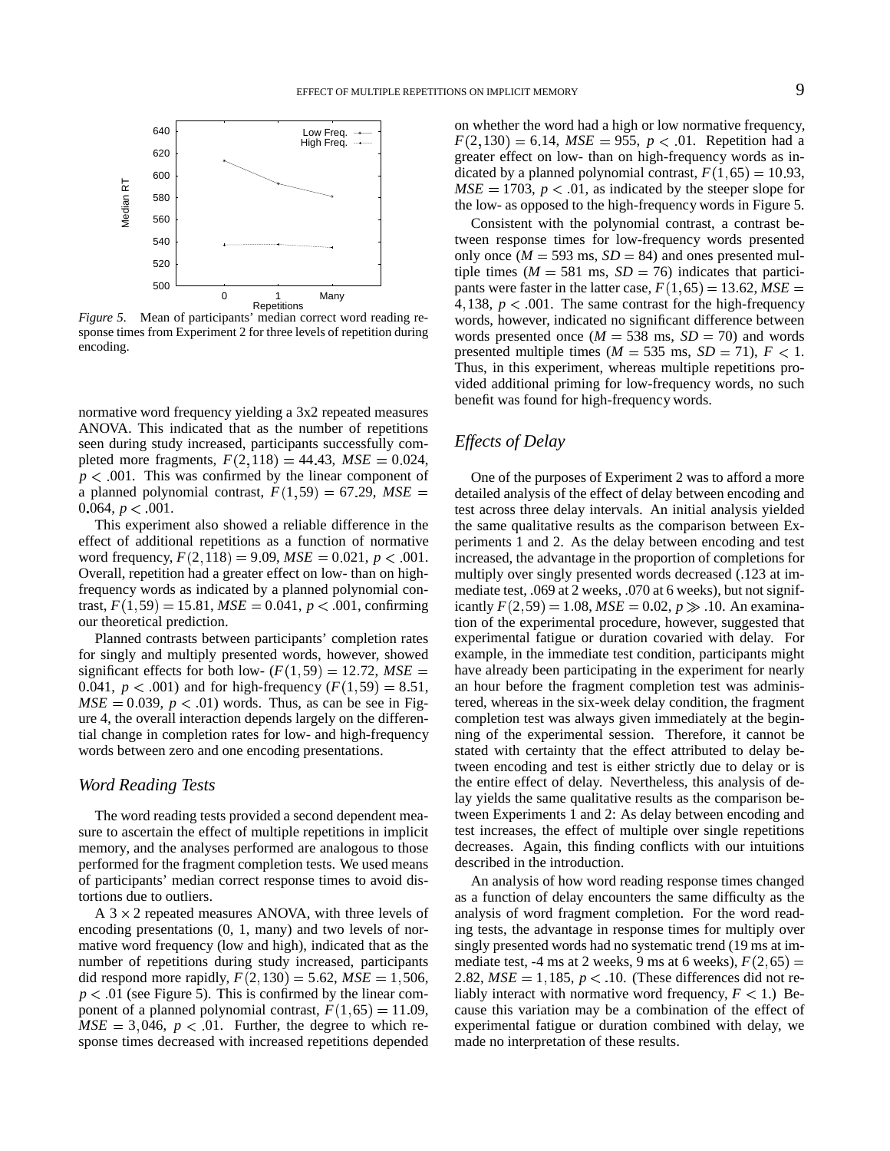

*Figure 5*. Mean of participants' median correct word reading response times from Experiment 2 for three levels of repetition during encoding.

normative word frequency yielding a 3x2 repeated measures ANOVA. This indicated that as the number of repetitions seen during study increased, participants successfully completed more fragments,  $F(2,118) = 44.43$ ,  $MSE = 0.024$ ,  $p < .001$ . This was confirmed by the linear component of a planned polynomial contrast,  $F(1,59) = 67.29$ ,  $MSE =$  detailed an 0.064,  $p < .001$ .

This experiment also showed a reliable difference in the effect of additional repetitions as a function of normative word frequency,  $F(2, 118) = 9.09$ ,  $MSE = 0.021$ ,  $p < .001$ . incr Overall, repetition had a greater effect on low- than on highfrequency words as indicated by a planned polynomial contrast,  $F(1, 59) = 15.81$ ,  $MSE = 0.041$ ,  $p < .001$ , confirming our theoretical prediction.

Planned contrasts between participants' completion rates for singly and multiply presented words, however, showed significant effects for both low-  $(F(1, 59) = 12.72, MSE =$  have alrea 0.041,  $p < .001$ ) and for high-frequency  $(F(1, 59) = 8.51,$  an h  $MSE = 0.039$ ,  $p < .01$ ) words. Thus, as can be see in Figure 4, the overall interaction depends largely on the differential change in completion rates for low- and high-frequency words between zero and one encoding presentations.

#### *Word Reading Tests*

The word reading tests provided a second dependent measure to ascertain the effect of multiple repetitions in implicit memory, and the analyses performed are analogous to those performed for the fragment completion tests. We used means of participants' median correct response times to avoid distortions due to outliers.

A  $3 \times 2$  repeated measures ANOVA, with three levels of encoding presentations (0, 1, many) and two levels of normative word frequency (low and high), indicated that as the number of repetitions during study increased, participants did respond more rapidly,  $F(2, 130) = 5.62$ ,  $MSE = 1,506$ , 2.8  $p < 0.01$  (see Figure 5). This is confirmed by the linear component of a planned polynomial contrast,  $F(1,65) = 11.09$ , cau  $MSE = 3,046$ ,  $p < .01$ . Further, the degree to which response times decreased with increased repetitions depended

on whether the word had a high or low normative frequency,  $F(2, 130) = 6.14$ , *MSE* = 955, *p* < 01. Repetition had a greater effect on low- than on high-frequency words as indicated by a planned polynomial contrast,  $F(1,65) = 10.93$ ,  $MSE = 1703$ ,  $p < 0.01$ , as indicated by the steeper slope for the low- as opposed to the high-frequency words in Figure 5.

Consistent with the polynomial contrast, a contrast between response times for low-frequency words presented only once ( $M = 593$  ms,  $SD = 84$ ) and ones presented multiple times ( $M = 581$  ms,  $SD = 76$ ) indicates that participants were faster in the latter case,  $F(1,65) = 13.62$ ,  $MSE =$ 4, 138,  $p < .001$ . The same contrast for the high-frequency words, however, indicated no significant difference between words presented once  $(M = 538 \text{ ms}, SD = 70)$  and words presented multiple times ( $M = 535$  ms,  $SD = 71$ ),  $F < 1$ . Thus, in this experiment, whereas multiple repetitions provided additional priming for low-frequency words, no such benefit was found for high-frequency words.

## *Effects of Delay*

One of the purposes of Experiment 2 was to afford a more detailed analysis of the effect of delay between encoding and test across three delay intervals. An initial analysis yielded the same qualitative results as the comparison between Experiments 1 and 2. As the delay between encoding and test increased, the advantage in the proportion of completions for multiply over singly presented words decreased (.123 at immediate test, .069 at 2 weeks, .070 at 6 weeks), but not significantly  $F(2, 59) = 1.08$ ,  $MSE = 0.02$ ,  $p \gg 10$ . An examina tion of the experimental procedure, however, suggested that experimental fatigue or duration covaried with delay. For example, in the immediate test condition, participants might have already been participating in the experiment for nearly an hour before the fragment completion test was administered, whereas in the six-week delay condition, the fragment completion test was always given immediately at the beginning of the experimental session. Therefore, it cannot be stated with certainty that the effect attributed to delay between encoding and test is either strictly due to delay or is the entire effect of delay. Nevertheless, this analysis of delay yields the same qualitative results as the comparison between Experiments 1 and 2: As delay between encoding and test increases, the effect of multiple over single repetitions decreases. Again, this finding conflicts with our intuitions described in the introduction.

An analysis of how word reading response times changed as a function of delay encounters the same difficulty as the analysis of word fragment completion. For the word reading tests, the advantage in response times for multiply over singly presented words had no systematic trend (19 ms at immediate test,  $-4$  ms at 2 weeks, 9 ms at 6 weeks),  $F(2, 65) =$ 2.82,  $MSE = 1,185, p < .10$ . (These differences did not reliably interact with normative word frequency,  $F < 1$ .) Because this variation may be a combination of the effect of experimental fatigue or duration combined with delay, we made no interpretation of these results.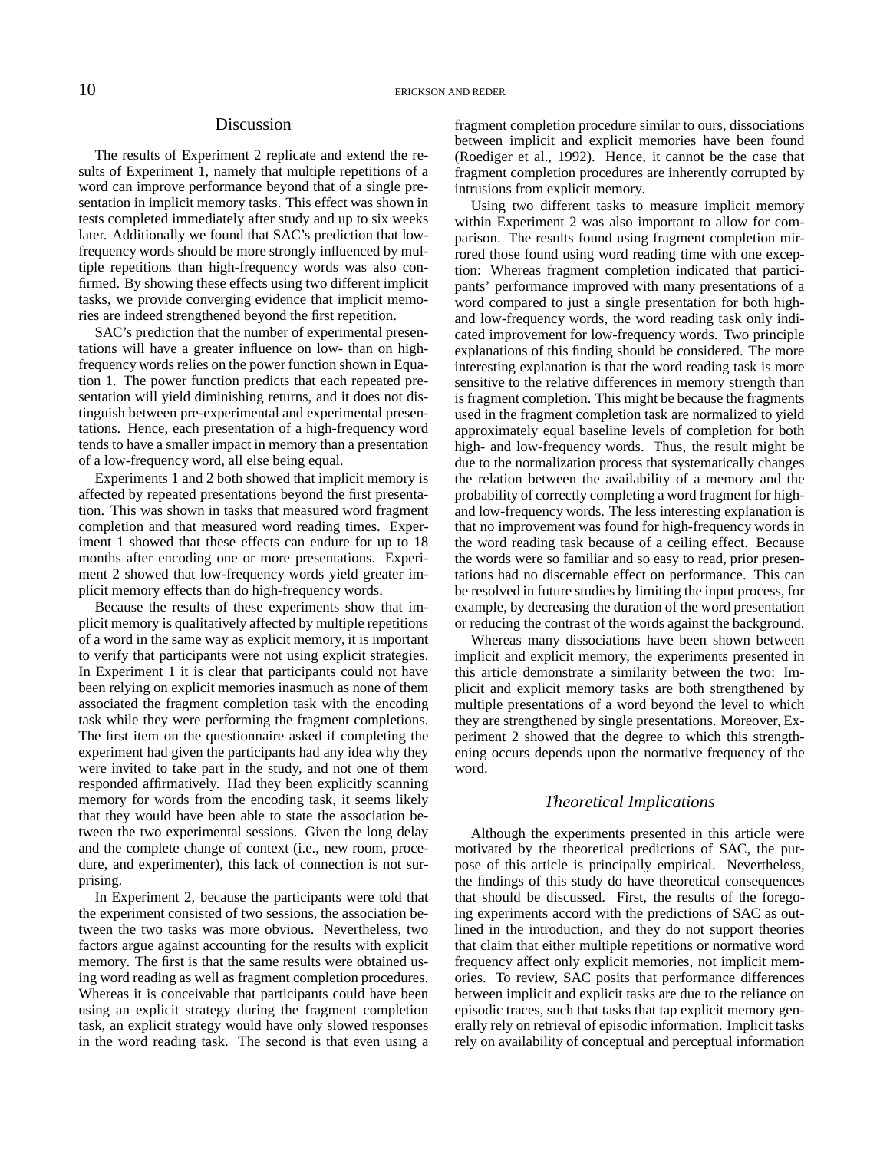#### Discussion

The results of Experiment 2 replicate and extend the results of Experiment 1, namely that multiple repetitions of a word can improve performance beyond that of a single presentation in implicit memory tasks. This effect was shown in tests completed immediately after study and up to six weeks later. Additionally we found that SAC's prediction that lowfrequency words should be more strongly influenced by multiple repetitions than high-frequency words was also confirmed. By showing these effects using two different implicit tasks, we provide converging evidence that implicit memories are indeed strengthened beyond the first repetition.

SAC's prediction that the number of experimental presentations will have a greater influence on low- than on highfrequency words relies on the power function shown in Equation 1. The power function predicts that each repeated presentation will yield diminishing returns, and it does not distinguish between pre-experimental and experimental presentations. Hence, each presentation of a high-frequency word tends to have a smaller impact in memory than a presentation of a low-frequency word, all else being equal.

Experiments 1 and 2 both showed that implicit memory is affected by repeated presentations beyond the first presentation. This was shown in tasks that measured word fragment completion and that measured word reading times. Experiment 1 showed that these effects can endure for up to 18 months after encoding one or more presentations. Experiment 2 showed that low-frequency words yield greater implicit memory effects than do high-frequency words.

Because the results of these experiments show that implicit memory is qualitatively affected by multiple repetitions of a word in the same way as explicit memory, it is important to verify that participants were not using explicit strategies. In Experiment 1 it is clear that participants could not have been relying on explicit memories inasmuch as none of them associated the fragment completion task with the encoding task while they were performing the fragment completions. The first item on the questionnaire asked if completing the experiment had given the participants had any idea why they were invited to take part in the study, and not one of them responded affirmatively. Had they been explicitly scanning memory for words from the encoding task, it seems likely that they would have been able to state the association between the two experimental sessions. Given the long delay and the complete change of context (i.e., new room, procedure, and experimenter), this lack of connection is not surprising.

In Experiment 2, because the participants were told that the experiment consisted of two sessions, the association between the two tasks was more obvious. Nevertheless, two factors argue against accounting for the results with explicit memory. The first is that the same results were obtained using word reading as well as fragment completion procedures. Whereas it is conceivable that participants could have been using an explicit strategy during the fragment completion task, an explicit strategy would have only slowed responses in the word reading task. The second is that even using a fragment completion procedure similar to ours, dissociations between implicit and explicit memories have been found (Roediger et al., 1992). Hence, it cannot be the case that fragment completion procedures are inherently corrupted by intrusions from explicit memory.

Using two different tasks to measure implicit memory within Experiment 2 was also important to allow for comparison. The results found using fragment completion mirrored those found using word reading time with one exception: Whereas fragment completion indicated that participants' performance improved with many presentations of a word compared to just a single presentation for both highand low-frequency words, the word reading task only indicated improvement for low-frequency words. Two principle explanations of this finding should be considered. The more interesting explanation is that the word reading task is more sensitive to the relative differences in memory strength than is fragment completion. This might be because the fragments used in the fragment completion task are normalized to yield approximately equal baseline levels of completion for both high- and low-frequency words. Thus, the result might be due to the normalization process that systematically changes the relation between the availability of a memory and the probability of correctly completing a word fragment for highand low-frequency words. The less interesting explanation is that no improvement was found for high-frequency words in the word reading task because of a ceiling effect. Because the words were so familiar and so easy to read, prior presentations had no discernable effect on performance. This can be resolved in future studies by limiting the input process, for example, by decreasing the duration of the word presentation or reducing the contrast of the words against the background.

Whereas many dissociations have been shown between implicit and explicit memory, the experiments presented in this article demonstrate a similarity between the two: Implicit and explicit memory tasks are both strengthened by multiple presentations of a word beyond the level to which they are strengthened by single presentations. Moreover, Experiment 2 showed that the degree to which this strengthening occurs depends upon the normative frequency of the word.

#### *Theoretical Implications*

Although the experiments presented in this article were motivated by the theoretical predictions of SAC, the purpose of this article is principally empirical. Nevertheless, the findings of this study do have theoretical consequences that should be discussed. First, the results of the foregoing experiments accord with the predictions of SAC as outlined in the introduction, and they do not support theories that claim that either multiple repetitions or normative word frequency affect only explicit memories, not implicit memories. To review, SAC posits that performance differences between implicit and explicit tasks are due to the reliance on episodic traces, such that tasks that tap explicit memory generally rely on retrieval of episodic information. Implicit tasks rely on availability of conceptual and perceptual information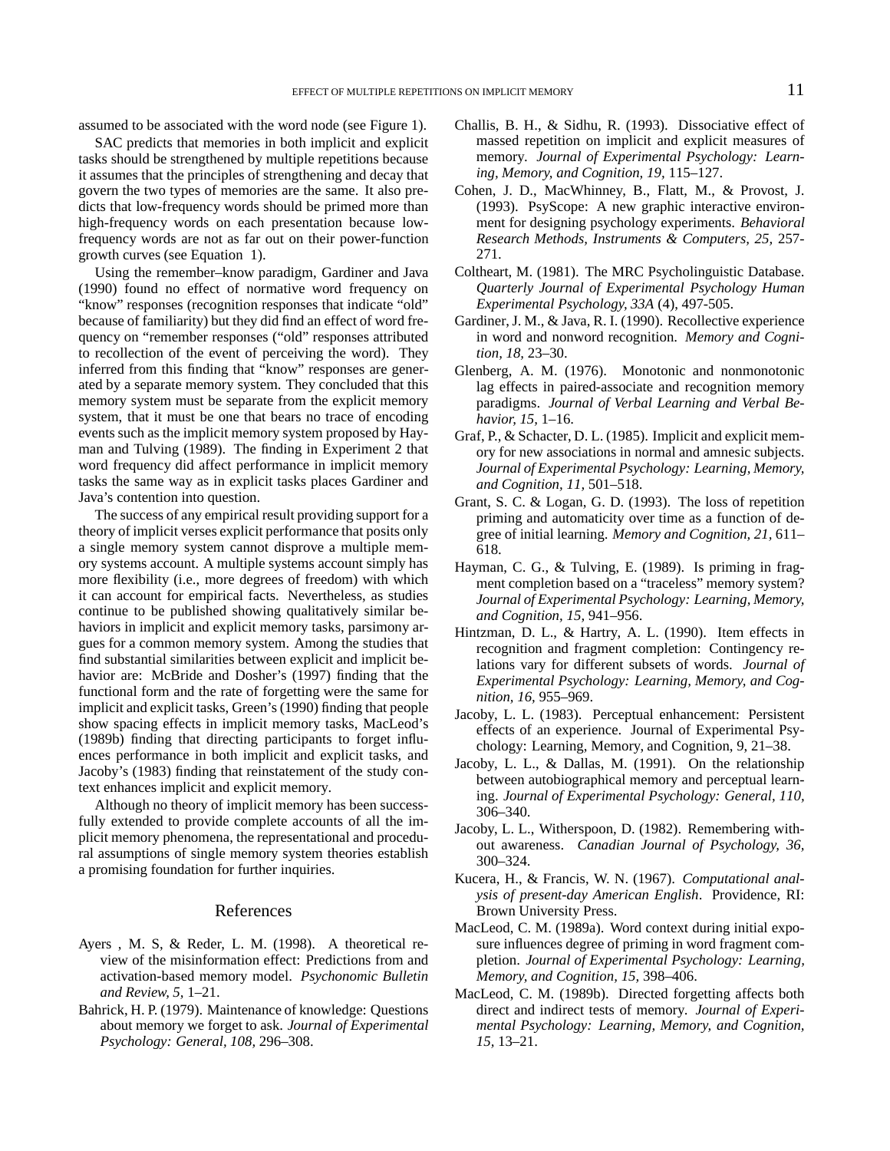assumed to be associated with the word node (see Figure 1).

SAC predicts that memories in both implicit and explicit tasks should be strengthened by multiple repetitions because it assumes that the principles of strengthening and decay that govern the two types of memories are the same. It also predicts that low-frequency words should be primed more than high-frequency words on each presentation because lowfrequency words are not as far out on their power-function growth curves (see Equation 1).

Using the remember–know paradigm, Gardiner and Java (1990) found no effect of normative word frequency on "know" responses (recognition responses that indicate "old" because of familiarity) but they did find an effect of word frequency on "remember responses ("old" responses attributed to recollection of the event of perceiving the word). They inferred from this finding that "know" responses are generated by a separate memory system. They concluded that this memory system must be separate from the explicit memory system, that it must be one that bears no trace of encoding events such as the implicit memory system proposed by Hayman and Tulving (1989). The finding in Experiment 2 that word frequency did affect performance in implicit memory tasks the same way as in explicit tasks places Gardiner and Java's contention into question.

The success of any empirical result providing support for a theory of implicit verses explicit performance that posits only a single memory system cannot disprove a multiple memory systems account. A multiple systems account simply has more flexibility (i.e., more degrees of freedom) with which it can account for empirical facts. Nevertheless, as studies continue to be published showing qualitatively similar behaviors in implicit and explicit memory tasks, parsimony argues for a common memory system. Among the studies that find substantial similarities between explicit and implicit behavior are: McBride and Dosher's (1997) finding that the functional form and the rate of forgetting were the same for implicit and explicit tasks, Green's(1990) finding that people show spacing effects in implicit memory tasks, MacLeod's (1989b) finding that directing participants to forget influences performance in both implicit and explicit tasks, and Jacoby's (1983) finding that reinstatement of the study context enhances implicit and explicit memory.

Although no theory of implicit memory has been successfully extended to provide complete accounts of all the implicit memory phenomena, the representational and procedural assumptions of single memory system theories establish a promising foundation for further inquiries.

#### References

- Ayers , M. S, & Reder, L. M. (1998). A theoretical review of the misinformation effect: Predictions from and activation-based memory model. *Psychonomic Bulletin and Review, 5,* 1–21.
- Bahrick, H. P. (1979). Maintenance of knowledge: Questions about memory we forget to ask. *Journal of Experimental Psychology: General, 108,* 296–308.
- Challis, B. H., & Sidhu, R. (1993). Dissociative effect of massed repetition on implicit and explicit measures of memory. *Journal of Experimental Psychology: Learning, Memory, and Cognition, 19,* 115–127.
- Cohen, J. D., MacWhinney, B., Flatt, M., & Provost, J. (1993). PsyScope: A new graphic interactive environment for designing psychology experiments. *Behavioral Research Methods, Instruments & Computers, 25,* 257- 271.
- Coltheart, M. (1981). The MRC Psycholinguistic Database. *Quarterly Journal of Experimental Psychology Human Experimental Psychology, 33A* (4), 497-505.
- Gardiner,J. M., & Java, R. I. (1990). Recollective experience in word and nonword recognition. *Memory and Cognition, 18,* 23–30.
- Glenberg, A. M. (1976). Monotonic and nonmonotonic lag effects in paired-associate and recognition memory paradigms. *Journal of Verbal Learning and Verbal Behavior, 15,* 1–16.
- Graf, P., & Schacter, D. L. (1985). Implicit and explicit memory for new associations in normal and amnesic subjects. *Journal of Experimental Psychology: Learning, Memory, and Cognition, 11,* 501–518.
- Grant, S. C. & Logan, G. D. (1993). The loss of repetition priming and automaticity over time as a function of degree of initial learning. *Memory and Cognition, 21,* 611– 618.
- Hayman, C. G., & Tulving, E. (1989). Is priming in fragment completion based on a "traceless" memory system? *Journal of Experimental Psychology: Learning, Memory, and Cognition, 15,* 941–956.
- Hintzman, D. L., & Hartry, A. L. (1990). Item effects in recognition and fragment completion: Contingency relations vary for different subsets of words. *Journal of Experimental Psychology: Learning, Memory, and Cognition, 16,* 955–969.
- Jacoby, L. L. (1983). Perceptual enhancement: Persistent effects of an experience. Journal of Experimental Psychology: Learning, Memory, and Cognition, 9, 21–38.
- Jacoby, L. L., & Dallas, M. (1991). On the relationship between autobiographical memory and perceptual learning. *Journal of Experimental Psychology: General, 110,* 306–340.
- Jacoby, L. L., Witherspoon, D. (1982). Remembering without awareness. *Canadian Journal of Psychology, 36,* 300–324.
- Kucera, H., & Francis, W. N. (1967). *Computational analysis of present-day American English*. Providence, RI: Brown University Press.
- MacLeod, C. M. (1989a). Word context during initial exposure influences degree of priming in word fragment completion. *Journal of Experimental Psychology: Learning, Memory, and Cognition, 15,* 398–406.
- MacLeod, C. M. (1989b). Directed forgetting affects both direct and indirect tests of memory. *Journal of Experimental Psychology: Learning, Memory, and Cognition, 15,* 13–21.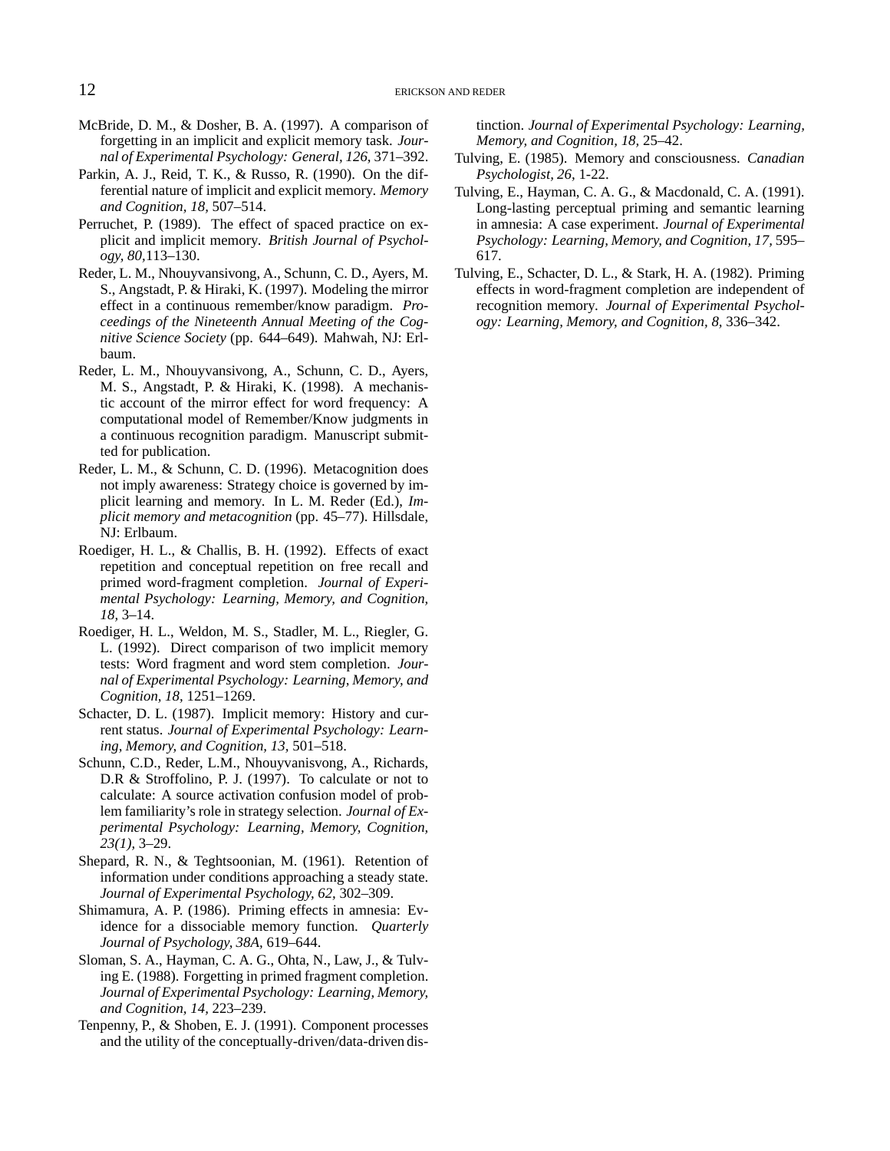- McBride, D. M., & Dosher, B. A. (1997). A comparison of forgetting in an implicit and explicit memory task. *Journal of Experimental Psychology: General, 126,* 371–392.
- Parkin, A. J., Reid, T. K., & Russo, R. (1990). On the differential nature of implicit and explicit memory. *Memory and Cognition, 18,* 507–514.
- Perruchet, P. (1989). The effect of spaced practice on explicit and implicit memory. *British Journal of Psychology, 80,*113–130.
- Reder, L. M., Nhouyvansivong, A., Schunn, C. D., Ayers, M. S., Angstadt, P. & Hiraki, K. (1997). Modeling the mirror effect in a continuous remember/know paradigm. *Proceedings of the Nineteenth Annual Meeting of the Cognitive Science Society* (pp. 644–649). Mahwah, NJ: Erlbaum.
- Reder, L. M., Nhouyvansivong, A., Schunn, C. D., Ayers, M. S., Angstadt, P. & Hiraki, K. (1998). A mechanistic account of the mirror effect for word frequency: A computational model of Remember/Know judgments in a continuous recognition paradigm. Manuscript submitted for publication.
- Reder, L. M., & Schunn, C. D. (1996). Metacognition does not imply awareness: Strategy choice is governed by implicit learning and memory. In L. M. Reder (Ed.), *Implicit memory and metacognition* (pp. 45–77). Hillsdale, NJ: Erlbaum.
- Roediger, H. L., & Challis, B. H. (1992). Effects of exact repetition and conceptual repetition on free recall and primed word-fragment completion. *Journal of Experimental Psychology: Learning, Memory, and Cognition, 18,* 3–14.
- Roediger, H. L., Weldon, M. S., Stadler, M. L., Riegler, G. L. (1992). Direct comparison of two implicit memory tests: Word fragment and word stem completion. *Journal of Experimental Psychology: Learning, Memory, and Cognition, 18,* 1251–1269.
- Schacter, D. L. (1987). Implicit memory: History and current status. *Journal of Experimental Psychology: Learning, Memory, and Cognition, 13,* 501–518.
- Schunn, C.D., Reder, L.M., Nhouyvanisvong, A., Richards, D.R & Stroffolino, P. J. (1997). To calculate or not to calculate: A source activation confusion model of problem familiarity's role in strategy selection. *Journal of Experimental Psychology: Learning, Memory, Cognition, 23(1),* 3–29.
- Shepard, R. N., & Teghtsoonian, M. (1961). Retention of information under conditions approaching a steady state. *Journal of Experimental Psychology, 62,* 302–309.
- Shimamura, A. P. (1986). Priming effects in amnesia: Evidence for a dissociable memory function. *Quarterly Journal of Psychology, 38A,* 619–644.
- Sloman, S. A., Hayman, C. A. G., Ohta, N., Law, J., & Tulving E. (1988). Forgetting in primed fragment completion. *Journal of Experimental Psychology: Learning, Memory, and Cognition, 14,* 223–239.
- Tenpenny, P., & Shoben, E. J. (1991). Component processes and the utility of the conceptually-driven/data-driven dis-

tinction. *Journal of Experimental Psychology: Learning, Memory, and Cognition, 18,* 25–42.

- Tulving, E. (1985). Memory and consciousness. *Canadian Psychologist, 26,* 1-22.
- Tulving, E., Hayman, C. A. G., & Macdonald, C. A. (1991). Long-lasting perceptual priming and semantic learning in amnesia: A case experiment. *Journal of Experimental Psychology: Learning, Memory, and Cognition, 17,* 595– 617.
- Tulving, E., Schacter, D. L., & Stark, H. A. (1982). Priming effects in word-fragment completion are independent of recognition memory. *Journal of Experimental Psychology: Learning, Memory, and Cognition, 8,* 336–342.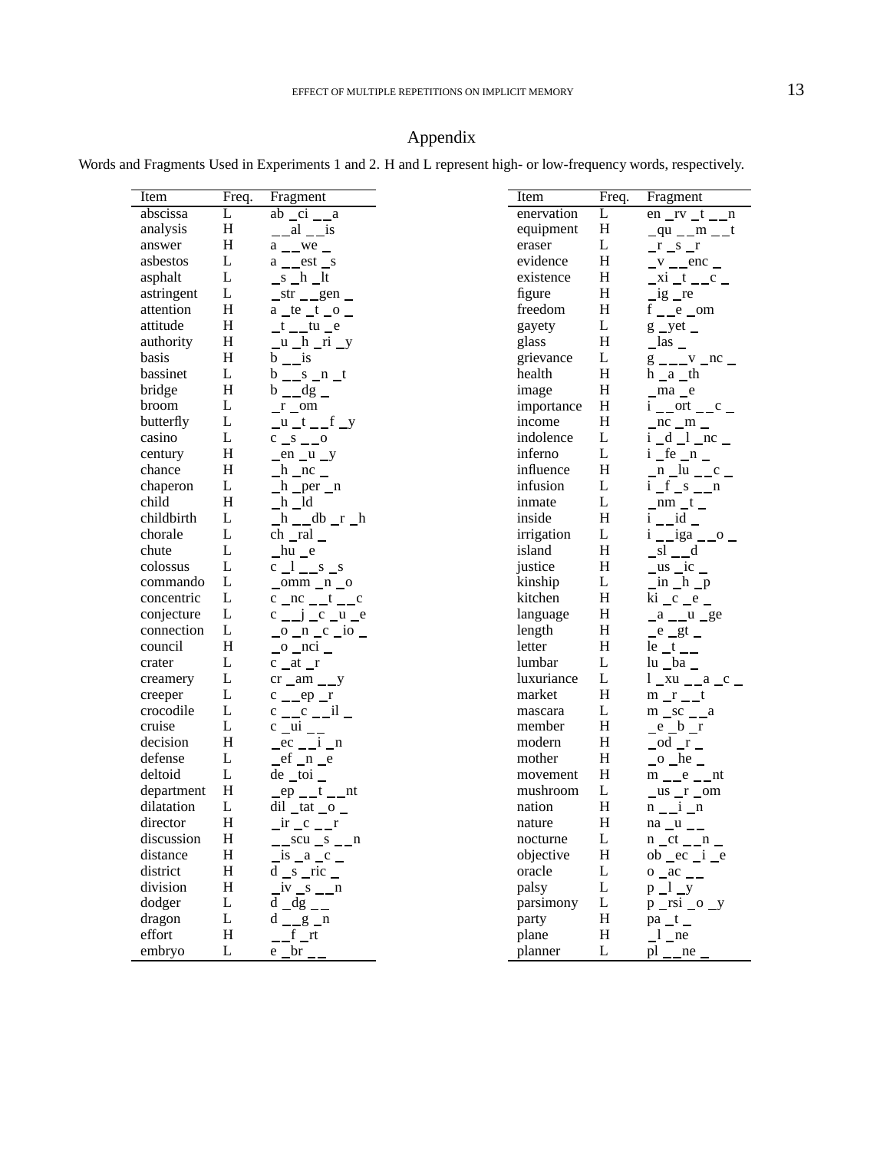## Appendix

Words and Fragments Used in Experiments 1 and 2. H and L represent high- or low-frequency words, respectively.

| Item                   | Freq.     | Fragment                                                      |
|------------------------|-----------|---------------------------------------------------------------|
| abscissa               | L         | $ab$ $ci$ $a$                                                 |
| analysis               | Η         | $\frac{a}{a}$ al $\frac{a}{b}$ is                             |
| answer                 | Η         | $a$ _ we _                                                    |
| asbestos               | L         | $a$ _ est _s                                                  |
| asphalt                | L         | $s_h$ lt                                                      |
| astringent             | L         | $str_{\_\_gen}$                                               |
| attention              | Η         | $a$ _te _t _o _                                               |
| attitude               | Η         | $t$ _ tu $e$                                                  |
| authority              | $H_{\rm}$ | $u_h$ n $_i$                                                  |
| basis                  | Η         | $b_{\perp}$ is                                                |
| bassinet               | L         | $b$ _ s _n _t                                                 |
| bridge                 | H         | $b$ $-dg$ $-$                                                 |
| broom                  | L         | $r_$ om                                                       |
| butterfly              | L         | $u_t$ _t _ _f _y                                              |
| casino                 | L         |                                                               |
| century                | Η         |                                                               |
| chance                 | Η         | $en_u_y$                                                      |
|                        | L         | $h$ nc $=$                                                    |
| chaperon               | H         | $h$ per $n$<br>$-h$ $ld$                                      |
| child                  | L         |                                                               |
| childbirth             | L         | _h __db _r _h                                                 |
| chorale                |           | ch _ral                                                       |
| chute                  | L         | $hu$ e                                                        |
| colossus               | L         | $c_l$ <sub>_1</sub> __s _s                                    |
| commando               | L         | $\_omm\_n\_o$                                                 |
| concentric             | L         | $c$ _nc __t __c                                               |
| conjecture             | L         | $c_{--}j_{--}c_{--}u_{--}e$                                   |
| connection             | L         | $\frac{\circ}{\circ}$ n c io $\frac{\circ}{\circ}$            |
| council                | H         | $_0$ $_n$ $nci$                                               |
| crater                 | L         | $c$ at $r$                                                    |
| creamery               | L         | $cr \_am \_y$                                                 |
| creeper                | L         | $c$ _ ep _r                                                   |
| crocodile              | L         | $c \_\_c \_\_il$                                              |
| cruise                 | L         | $c$ $\mu i$ $\mu$                                             |
| decision               | H         | $-$ ec $-$ i $-$ n                                            |
| defense                | L         | $ef_n$                                                        |
| deltoid                | L         | $de\_toi$                                                     |
| department             | H         | $ep$ <sub>--</sub> t <sub>--</sub> nt                         |
| dilatation             | L         | $di$ $\frac{1}{2}$ tat $\frac{1}{2}$ o                        |
| director               | Η         | $ir \_c \_r$                                                  |
|                        | H         |                                                               |
| discussion<br>distance | Η         | $\frac{\text{scu}}{\text{scu}}$ $\frac{\text{scu}}{\text{c}}$ |
|                        |           | is a c                                                        |
| district               | Η         | $d_s$ _ ric _                                                 |
| division               | H         |                                                               |
| dodger                 | L         | $-dg$ $-$<br>d                                                |
| dragon                 | L         | $-$ g $-$ n<br>d                                              |
| effort                 | Η         | f rt                                                          |
| embryo                 | L         | br<br>e                                                       |

| Item       | Freq.     | Fragment                                                                                 |
|------------|-----------|------------------------------------------------------------------------------------------|
| enervation | L         | $en_r v_t_n$                                                                             |
| equipment  | Н         | $qu$ _ m _ t                                                                             |
| eraser     | L         | $r_s$ s $r$                                                                              |
| evidence   | H         | $-v$ - $-$ enc -                                                                         |
| existence  | H         | $x_i$ $t$ $c$                                                                            |
| figure     | H         | $-$ ig $-$ re                                                                            |
| freedom    | H         | $f \_\_e \_\text{om}$                                                                    |
| gayety     | L         | $g$ _yet _                                                                               |
| glass      | H         | $\lfloor$ las $\lfloor$                                                                  |
| grievance  | L         | $\frac{g}{g}$ - - - $\frac{v}{g}$ - nc -                                                 |
| health     | H         | $h_a$ th                                                                                 |
| image      | Н         | _ma _e                                                                                   |
| importance | $H_{\rm}$ | $i \underline{\hspace{1cm}}$ ort $\underline{\hspace{1cm}} c \underline{\hspace{1cm}}$   |
| income     | H         | $nc_m$                                                                                   |
| indolence  | L         | $i$ $d$ $l$ $n$ $c$ $n$                                                                  |
| inferno    | L         | $i$ _fe _n _                                                                             |
| influence  | $H_{\rm}$ |                                                                                          |
| infusion   | L         | $\lim_{i \to \infty} \frac{-n - u}{-s - n}$                                              |
| inmate     | L         | $nm_t$                                                                                   |
| inside     | H         | $i$ __id _                                                                               |
| irrigation | L         | $i \_iga \_o$                                                                            |
| island     | Н         | $\_sl$ <sub>--</sub> d                                                                   |
| justice    | H         | $\frac{\text{us} - \text{ic}}{\text{in } \text{h} - \text{p}}$                           |
| kinship    | L         |                                                                                          |
| kitchen    | H         | $\overline{\text{ki}}$ $\overline{\text{c}}$ $\overline{\text{e}}$ $\overline{\text{e}}$ |
| language   | Н         | $a$ _ $u$ _ ge                                                                           |
| length     | Н         | $e$ $gt$                                                                                 |
| letter     | H         | $le$ <sub>-t</sub> <sub>--</sub>                                                         |
| lumbar     | L         | lu _ba _                                                                                 |
| luxuriance | L         | $1_{xu_{-a}c}$                                                                           |
| market     | H         | $m$ <sub>_r</sub> _t                                                                     |
| mascara    | L         | $m$ _sc _ _a                                                                             |
| member     | Н         | $e_b$                                                                                    |
| modern     | Н         | $_$ od $_$ r $_-$                                                                        |
| mother     | H         | $\_\circ$ he $\_\circ$                                                                   |
| movement   | H         | $m$ _ $e$ _ $nt$                                                                         |
| mushroom   | L         | $us$ <sub>_r</sub> _om                                                                   |
| nation     | H         | $n_i$ i $n$                                                                              |
| nature     | Η         | $na_u$                                                                                   |
| nocturne   | L         | $n$ _ct _ _n _                                                                           |
| objective  | Η         | $ob$ $ec$ $i$ $e$                                                                        |
| oracle     | L         | $0$ $ac$ $-$                                                                             |
| palsy      | L         | $p_1 y$                                                                                  |
| parsimony  | L         | $p$ _rsi _o _y                                                                           |
| party      | Η         | $pa_t$                                                                                   |
| plane      | Η         | $\lceil$ ne                                                                              |
| planner    | L         | pl<br>ne                                                                                 |